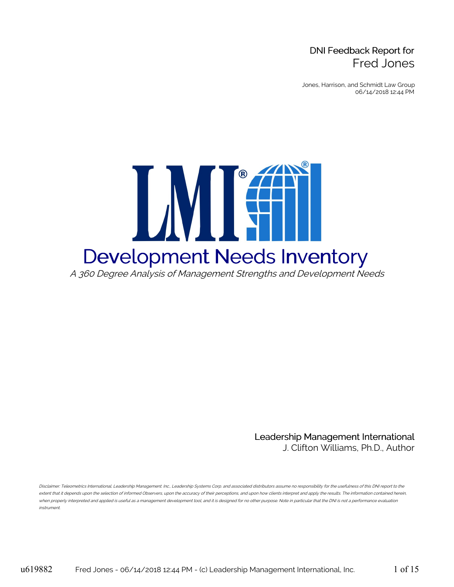## DNI Feedback Report for Fred Jones

Jones, Harrison, and Schmidt Law Group 06/14/2018 12:44 PM



Leadership Management International J. Clifton Williams, Ph.D., Author

Disclaimer: Teleometrics International, Leadership Management. Inc., Leadership Systems Corp. and associated distributors assume no responsibility for the usefulness of this DNI report to the extent that it depends upon the selection of informed Observers, upon the accuracy of their perceptions, and upon how clients interpret and apply the results. The information contained herein, when properly interpreted and applied is useful as <sup>a</sup> management development tool, and it is designed for no other purpose. Note in particular that the DNI is not <sup>a</sup> performance evaluation instrument.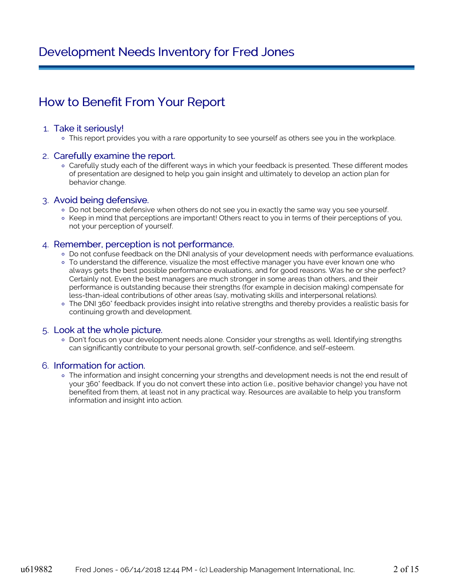# Development Needs Inventory for Fred Jones

# How to Benefit From Your Report

#### 1. Take it seriously!

o This report provides you with a rare opportunity to see yourself as others see you in the workplace.

#### 2. Carefully examine the report.

Carefully study each of the different ways in which your feedback is presented. These different modes of presentation are designed to help you gain insight and ultimately to develop an action plan for behavior change.

#### 3. Avoid being defensive.

- Do not become defensive when others do not see you in exactly the same way you see yourself.
- Keep in mind that perceptions are important! Others react to you in terms of their perceptions of you, not your perception of yourself.

#### 4. Remember, perception is not performance.

- o Do not confuse feedback on the DNI analysis of your development needs with performance evaluations.
- To understand the difference, visualize the most effective manager you have ever known one who always gets the best possible performance evaluations, and for good reasons. Was he or she perfect? Certainly not. Even the best managers are much stronger in some areas than others, and their performance is outstanding because their strengths (for example in decision making) compensate for less-than-ideal contributions of other areas (say, motivating skills and interpersonal relations).
- The DNI 360° feedback provides insight into relative strengths and thereby provides a realistic basis for continuing growth and development.

#### 5. Look at the whole picture.

Don't focus on your development needs alone. Consider your strengths as well. Identifying strengths can significantly contribute to your personal growth, self-confidence, and self-esteem.

#### 6. Information for action.

o The information and insight concerning your strengths and development needs is not the end result of your 360° feedback. If you do not convert these into action (i.e., positive behavior change) you have not benefited from them, at least not in any practical way. Resources are available to help you transform information and insight into action.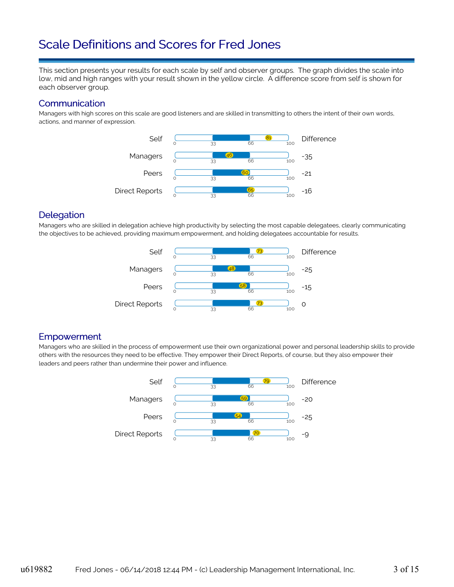# Scale Definitions and Scores for Fred Jones

This section presents your results for each scale by self and observer groups. The graph divides the scale into low, mid and high ranges with your result shown in the yellow circle. A difference score from self is shown for each observer group.

#### **Communication**

Managers with high scores on this scale are good listeners and are skilled in transmitting to others the intent of their own words, actions, and manner of expression.



### **Delegation**

Managers who are skilled in delegation achieve high productivity by selecting the most capable delegatees, clearly communicating the objectives to be achieved, providing maximum empowerment, and holding delegatees accountable for results.



### Empowerment

Managers who are skilled in the process of empowerment use their own organizational power and personal leadership skills to provide others with the resources they need to be effective. They empower their Direct Reports, of course, but they also empower their leaders and peers rather than undermine their power and influence.

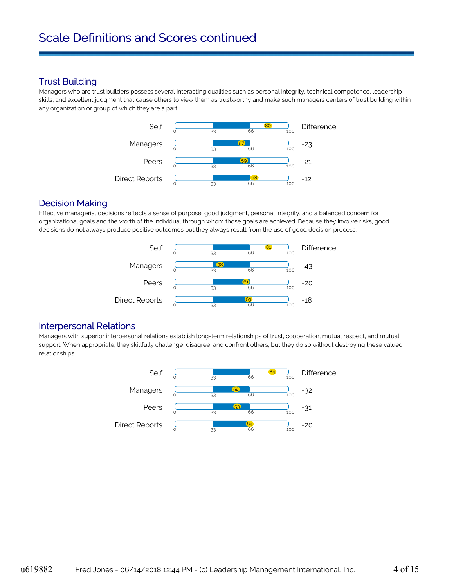## Trust Building

Managers who are trust builders possess several interacting qualities such as personal integrity, technical competence, leadership skills, and excellent judgment that cause others to view them as trustworthy and make such managers centers of trust building within any organization or group of which they are a part.



### Decision Making

Effective managerial decisions reflects a sense of purpose, good judgment, personal integrity, and a balanced concern for organizational goals and the worth of the individual through whom those goals are achieved. Because they involve risks, good decisions do not always produce positive outcomes but they always result from the use of good decision process.



### Interpersonal Relations

Managers with superior interpersonal relations establish long-term relationships of trust, cooperation, mutual respect, and mutual support. When appropriate, they skillfully challenge, disagree, and confront others, but they do so without destroying these valued relationships.

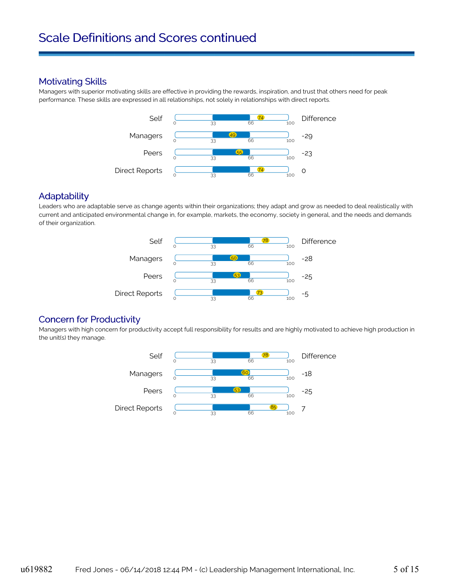### Motivating Skills

Managers with superior motivating skills are effective in providing the rewards, inspiration, and trust that others need for peak performance. These skills are expressed in all relationships, not solely in relationships with direct reports.



#### **Adaptability**

Leaders who are adaptable serve as change agents within their organizations; they adapt and grow as needed to deal realistically with current and anticipated environmental change in, for example, markets, the economy, society in general, and the needs and demands of their organization.



### Concern for Productivity

Managers with high concern for productivity accept full responsibility for results and are highly motivated to achieve high production in the unit(s) they manage.

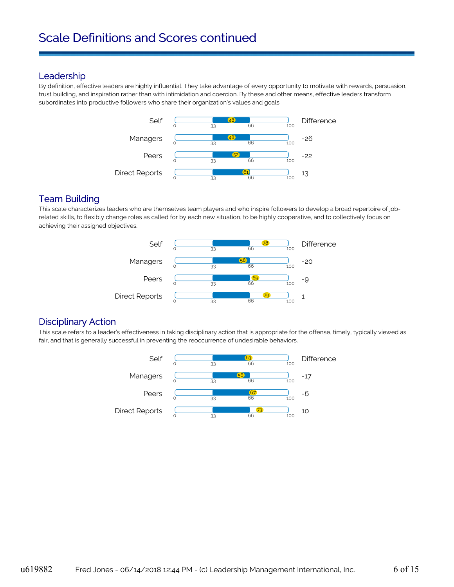#### **Leadership**

By definition, effective leaders are highly influential. They take advantage of every opportunity to motivate with rewards, persuasion, trust building, and inspiration rather than with intimidation and coercion. By these and other means, effective leaders transform subordinates into productive followers who share their organization's values and goals.



## Team Building

This scale characterizes leaders who are themselves team players and who inspire followers to develop a broad repertoire of jobrelated skills, to flexibly change roles as called for by each new situation, to be highly cooperative, and to collectively focus on achieving their assigned objectives.



### Disciplinary Action

This scale refers to a leader's effectiveness in taking disciplinary action that is appropriate for the offense, timely, typically viewed as fair, and that is generally successful in preventing the reoccurrence of undesirable behaviors.

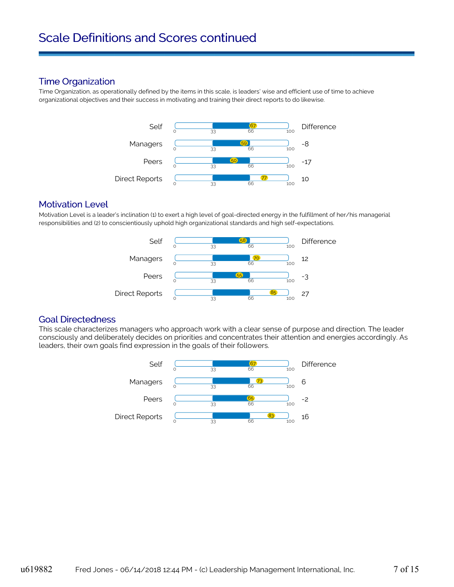### Time Organization

Time Organization, as operationally defined by the items in this scale, is leaders' wise and efficient use of time to achieve organizational objectives and their success in motivating and training their direct reports to do likewise.



### Motivation Level

Motivation Level is a leader's inclination (1) to exert a high level of goal-directed energy in the fulfillment of her/his managerial responsibilities and (2) to conscientiously uphold high organizational standards and high self-expectations.



#### Goal Directedness

This scale characterizes managers who approach work with a clear sense of purpose and direction. The leader consciously and deliberately decides on priorities and concentrates their attention and energies accordingly. As leaders, their own goals find expression in the goals of their followers.

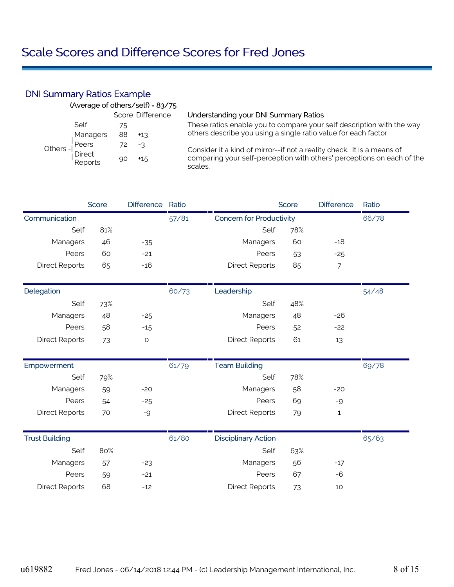## DNI Summary Ratios Example

|         |                   |    | (Average of others/self) = 83/75 |                                                                                   |
|---------|-------------------|----|----------------------------------|-----------------------------------------------------------------------------------|
|         |                   |    | Score Difference                 | Understanding your DNI Summary Ratios                                             |
|         | Self              | 75 |                                  | These ratios enable you to compare your self description with the way             |
| Others- | Managers          | 88 | $+13$                            | others describe you using a single ratio value for each factor.                   |
|         | Peers             | 72 | -3                               | Consider it a kind of mirror--if not a reality check. It is a means of            |
|         | Direct<br>Reports | 90 | $+15$                            | comparing your self-perception with others' perceptions on each of the<br>scales. |

|                       | Score | <b>Difference</b> | Ratio |                                 | Score | <b>Difference</b> | Ratio |
|-----------------------|-------|-------------------|-------|---------------------------------|-------|-------------------|-------|
| Communication         |       |                   | 57/81 | <b>Concern for Productivity</b> |       |                   | 66/78 |
| Self                  | 81%   |                   |       | Self                            | 78%   |                   |       |
| Managers              | 46    | $-35$             |       | Managers                        | 60    | $-18$             |       |
| Peers                 | 60    | $-21$             |       | Peers                           | 53    | $-25$             |       |
| <b>Direct Reports</b> | 65    | $-16$             |       | <b>Direct Reports</b>           | 85    | 7                 |       |
| Delegation            |       |                   | 60/73 | Leadership                      |       |                   | 54/48 |
| Self                  | 73%   |                   |       | Self                            | 48%   |                   |       |
| Managers              | 48    | $-25$             |       | Managers                        | 48    | $-26$             |       |
| Peers                 | 58    | $-15$             |       | Peers                           | 52    | $-22$             |       |
| <b>Direct Reports</b> | 73    | $\mathsf O$       |       | <b>Direct Reports</b>           | 61    | 13                |       |
| Empowerment           |       |                   | 61/79 | <b>Team Building</b>            |       |                   | 69/78 |
| Self                  | 79%   |                   |       | Self                            | 78%   |                   |       |
| Managers              | 59    | $-20$             |       | Managers                        | 58    | $-20$             |       |
| Peers                 | 54    | $-25$             |       | Peers                           | 69    | -9                |       |
| <b>Direct Reports</b> | 70    | -9                |       | <b>Direct Reports</b>           | 79    | 1                 |       |
| <b>Trust Building</b> |       |                   | 61/80 | <b>Disciplinary Action</b>      |       |                   | 65/63 |
| Self                  | 80%   |                   |       | Self                            | 63%   |                   |       |
| Managers              | 57    | $-23$             |       | Managers                        | 56    | $-17$             |       |
| Peers                 | 59    | $-21$             |       | Peers                           | 67    | $-6$              |       |
| <b>Direct Reports</b> | 68    | $-12$             |       | <b>Direct Reports</b>           | 73    | 10                |       |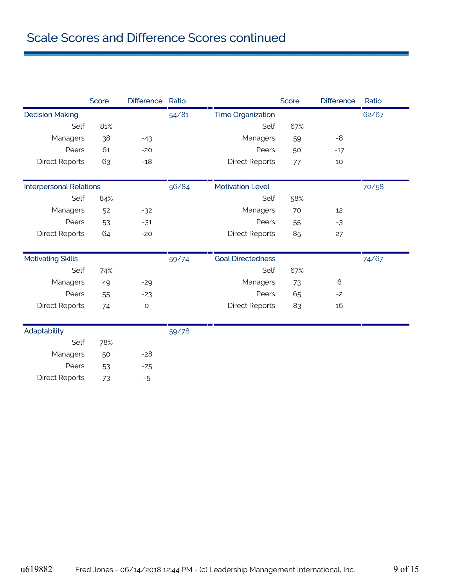|                                | Score | <b>Difference</b> | Ratio |                          | Score | <b>Difference</b> | Ratio |
|--------------------------------|-------|-------------------|-------|--------------------------|-------|-------------------|-------|
| <b>Decision Making</b>         |       |                   | 54/81 | <b>Time Organization</b> |       |                   | 62/67 |
| Self                           | 81%   |                   |       | Self                     | 67%   |                   |       |
| Managers                       | 38    | $-43$             |       | Managers                 | 59    | $-8$              |       |
| Peers                          | 61    | $-20$             |       | Peers                    | 50    | $-17$             |       |
| <b>Direct Reports</b>          | 63    | $-18$             |       | <b>Direct Reports</b>    | 77    | 10                |       |
| <b>Interpersonal Relations</b> |       |                   | 56/84 | <b>Motivation Level</b>  |       |                   | 70/58 |
| Self                           | 84%   |                   |       | Self                     | 58%   |                   |       |
| Managers                       | 52    | $-32$             |       | Managers                 | 70    | 12                |       |
| Peers                          | 53    | $-31$             |       | Peers                    | 55    | $-3$              |       |
| <b>Direct Reports</b>          | 64    | $-20$             |       | <b>Direct Reports</b>    | 85    | 27                |       |
| <b>Motivating Skills</b>       |       |                   | 59/74 | <b>Goal Directedness</b> |       |                   | 74/67 |
| Self                           | 74%   |                   |       | Self                     | 67%   |                   |       |
| Managers                       | 49    | $-29$             |       | Managers                 | 73    | 6                 |       |
| Peers                          | 55    | $-23$             |       | Peers                    | 65    | $-2$              |       |
| <b>Direct Reports</b>          | 74    | $\mathsf O$       |       | <b>Direct Reports</b>    | 83    | 16                |       |
| Adaptability                   |       |                   | 59/78 |                          |       |                   |       |
| Self                           | 78%   |                   |       |                          |       |                   |       |
| Managers                       | 50    | $-28$             |       |                          |       |                   |       |
| Peers                          | 53    | $-25$             |       |                          |       |                   |       |
| <b>Direct Reports</b>          | 73    | $-5$              |       |                          |       |                   |       |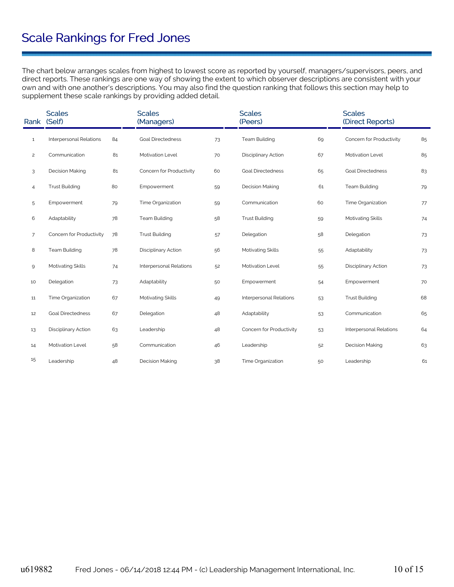# Scale Rankings for Fred Jones

The chart below arranges scales from highest to lowest score as reported by yourself, managers/supervisors, peers, and direct reports. These rankings are one way of showing the extent to which observer descriptions are consistent with your own and with one another's descriptions. You may also find the question ranking that follows this section may help to supplement these scale rankings by providing added detail.

|                | <b>Scales</b><br>Rank (Self) |    | <b>Scales</b><br>(Managers) |    | <b>Scales</b><br>(Peers) |    | <b>Scales</b><br>(Direct Reports) |    |
|----------------|------------------------------|----|-----------------------------|----|--------------------------|----|-----------------------------------|----|
| $\mathbf{1}$   | Interpersonal Relations      | 84 | <b>Goal Directedness</b>    | 73 | <b>Team Building</b>     | 69 | Concern for Productivity          | 85 |
| $\overline{c}$ | Communication                | 81 | Motivation Level            | 70 | Disciplinary Action      | 67 | Motivation Level                  | 85 |
| 3              | <b>Decision Making</b>       | 81 | Concern for Productivity    | 60 | <b>Goal Directedness</b> | 65 | <b>Goal Directedness</b>          | 83 |
| 4              | <b>Trust Building</b>        | 80 | Empowerment                 | 59 | <b>Decision Making</b>   | 61 | <b>Team Building</b>              | 79 |
| 5              | Empowerment                  | 79 | Time Organization           | 59 | Communication            | 60 | Time Organization                 | 77 |
| 6              | Adaptability                 | 78 | <b>Team Building</b>        | 58 | <b>Trust Building</b>    | 59 | Motivating Skills                 | 74 |
| $\overline{7}$ | Concern for Productivity     | 78 | <b>Trust Building</b>       | 57 | Delegation               | 58 | Delegation                        | 73 |
| 8              | <b>Team Building</b>         | 78 | Disciplinary Action         | 56 | Motivating Skills        | 55 | Adaptability                      | 73 |
| 9              | Motivating Skills            | 74 | Interpersonal Relations     | 52 | Motivation Level         | 55 | Disciplinary Action               | 73 |
| 10             | Delegation                   | 73 | Adaptability                | 50 | Empowerment              | 54 | Empowerment                       | 70 |
| 11             | Time Organization            | 67 | Motivating Skills           | 49 | Interpersonal Relations  | 53 | <b>Trust Building</b>             | 68 |
| 12             | <b>Goal Directedness</b>     | 67 | Delegation                  | 48 | Adaptability             | 53 | Communication                     | 65 |
| 13             | Disciplinary Action          | 63 | Leadership                  | 48 | Concern for Productivity | 53 | Interpersonal Relations           | 64 |
| 14             | Motivation Level             | 58 | Communication               | 46 | Leadership               | 52 | Decision Making                   | 63 |
| 15             | Leadership                   | 48 | Decision Making             | 38 | Time Organization        | 50 | Leadership                        | 61 |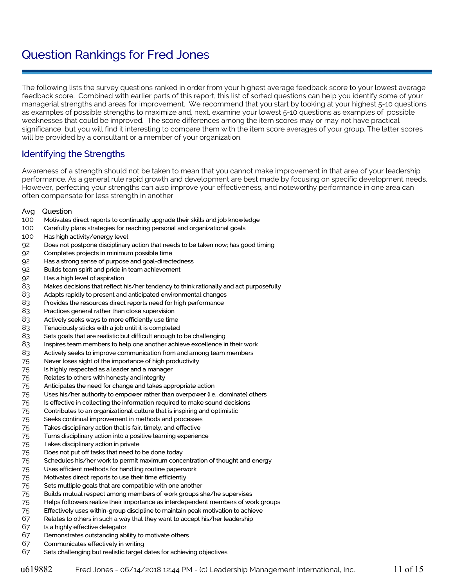# Question Rankings for Fred Jones

The following lists the survey questions ranked in order from your highest average feedback score to your lowest average feedback score. Combined with earlier parts of this report, this list of sorted questions can help you identify some of your managerial strengths and areas for improvement. We recommend that you start by looking at your highest 5-10 questions as examples of possible strengths to maximize and, next, examine your lowest 5-10 questions as examples of possible weaknesses that could be improved. The score differences among the item scores may or may not have practical significance, but you will find it interesting to compare them with the item score averages of your group. The latter scores will be provided by a consultant or a member of your organization.

## Identifying the Strengths

Awareness of a strength should not be taken to mean that you cannot make improvement in that area of your leadership performance. As a general rule rapid growth and development are best made by focusing on specific development needs. However, perfecting your strengths can also improve your effectiveness, and noteworthy performance in one area can often compensate for less strength in another.

#### Avg Question

- Motivates direct reports to continually upgrade their skills and job knowledge
- Carefully plans strategies for reaching personal and organizational goals
- Has high activity/energy level
- Does not postpone disciplinary action that needs to be taken now; has good timing
- Completes projects in minimum possible time
- Has a strong sense of purpose and goal-directedness
- Builds team spirit and pride in team achievement
- Has a high level of aspiration
- Makes decisions that reflect his/her tendency to think rationally and act purposefully
- Adapts rapidly to present and anticipated environmental changes
- Provides the resources direct reports need for high performance
- Practices general rather than close supervision
- Actively seeks ways to more efficiently use time
- Tenaciously sticks with a job until it is completed
- Sets goals that are realistic but difficult enough to be challenging
- Inspires team members to help one another achieve excellence in their work
- Actively seeks to improve communication from and among team members
- Never loses sight of the importance of high productivity
- Is highly respected as a leader and a manager
- Relates to others with honesty and integrity
- Anticipates the need for change and takes appropriate action
- Uses his/her authority to empower rather than overpower (i.e., dominate) others
- 75 Is effective in collecting the information required to make sound decisions
- Contributes to an organizational culture that is inspiring and optimistic
- Seeks continual improvement in methods and processes
- Takes disciplinary action that is fair, timely, and effective
- Turns disciplinary action into a positive learning experience
- Takes disciplinary action in private
- Does not put off tasks that need to be done today
- Schedules his/her work to permit maximum concentration of thought and energy
- Uses efficient methods for handling routine paperwork
- Motivates direct reports to use their time efficiently
- Sets multiple goals that are compatible with one another
- Builds mutual respect among members of work groups she/he supervises
- Helps followers realize their importance as interdependent members of work groups
- Effectively uses within-group discipline to maintain peak motivation to achieve
- Relates to others in such a way that they want to accept his/her leadership
- Is a highly effective delegator
- Demonstrates outstanding ability to motivate others
- Communicates effectively in writing
- Sets challenging but realistic target dates for achieving objectives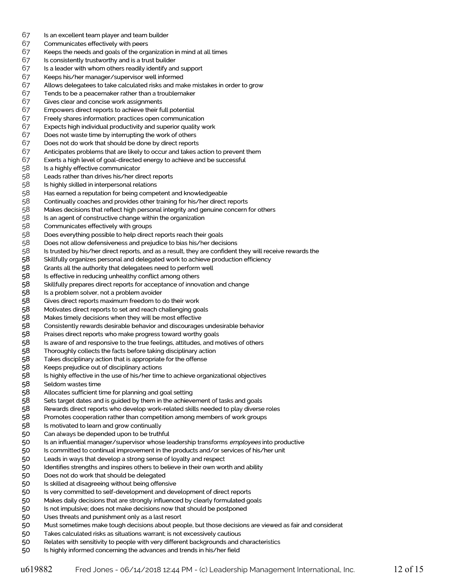- Is an excellent team player and team builder
- Communicates effectively with peers
- Keeps the needs and goals of the organization in mind at all times
- Is consistently trustworthy and is a trust builder
- Is a leader with whom others readily identify and support
- Keeps his/her manager/supervisor well informed
- Allows delegatees to take calculated risks and make mistakes in order to grow
- Tends to be a peacemaker rather than a troublemaker
- Gives clear and concise work assignments
- Empowers direct reports to achieve their full potential
- Freely shares information; practices open communication
- Expects high individual productivity and superior quality work
- Does not waste time by interrupting the work of others
- Does not do work that should be done by direct reports
- Anticipates problems that are likely to occur and takes action to prevent them
- Exerts a high level of goal-directed energy to achieve and be successful
- Is a highly effective communicator
- 58 Leads rather than drives his/her direct reports<br>58 Is highly skilled in interpersonal relations
- 58 Is highly skilled in interpersonal relations<br>58 Has earned a reputation for being compe
- Has earned a reputation for being competent and knowledgeable
- Continually coaches and provides other training for his/her direct reports
- Makes decisions that reflect high personal integrity and genuine concern for others
- Is an agent of constructive change within the organization
- Communicates effectively with groups
- Does everything possible to help direct reports reach their goals
- Does not allow defensiveness and prejudice to bias his/her decisions
- Is trusted by his/her direct reports, and as a result, they are confident they will receive rewards the
- Skillfully organizes personal and delegated work to achieve production efficiency
- Grants all the authority that delegatees need to perform well
- Is effective in reducing unhealthy conflict among others
- Skillfully prepares direct reports for acceptance of innovation and change
- 58 Is a problem solver, not a problem avoider<br>58 Gives direct reports maximum freedom to<br>58 Motivates direct reports to set and reach cl
- Gives direct reports maximum freedom to do their work
- 58 Motivates direct reports to set and reach challenging goals<br>58 Makes timely decisions when they will be most effective
- 58 Makes timely decisions when they will be most effective<br>58 Consistently rewards desirable behavior and discourages
- Consistently rewards desirable behavior and discourages undesirable behavior
- Praises direct reports who make progress toward worthy goals
- Is aware of and responsive to the true feelings, attitudes, and motives of others
- Thoroughly collects the facts before taking disciplinary action
- Takes disciplinary action that is appropriate for the offense
- Keeps prejudice out of disciplinary actions
- Is highly effective in the use of his/her time to achieve organizational objectives
- Seldom wastes time
- Allocates sufficient time for planning and goal setting
- Sets target dates and is guided by them in the achievement of tasks and goals
- Rewards direct reports who develop work-related skills needed to play diverse roles
- Promotes cooperation rather than competition among members of work groups
- Is motivated to learn and grow continually
- Can always be depended upon to be truthful
- 50 Is an influential manager/supervisor whose leadership transforms *employees* into productive
- Is committed to continual improvement in the products and/or services of his/her unit
- Leads in ways that develop a strong sense of loyalty and respect
- Identifies strengths and inspires others to believe in their own worth and ability
- Does not do work that should be delegated
- Is skilled at disagreeing without being offensive
- Is very committed to self-development and development of direct reports
- Makes daily decisions that are strongly influenced by clearly formulated goals
- Is not impulsive; does not make decisions now that should be postponed
- Uses threats and punishment only as a last resort
- Must sometimes make tough decisions about people, but those decisions are viewed as fair and considerat
- Takes calculated risks as situations warrant; is not excessively cautious
- Relates with sensitivity to people with very different backgrounds and characteristics
- Is highly informed concerning the advances and trends in his/her field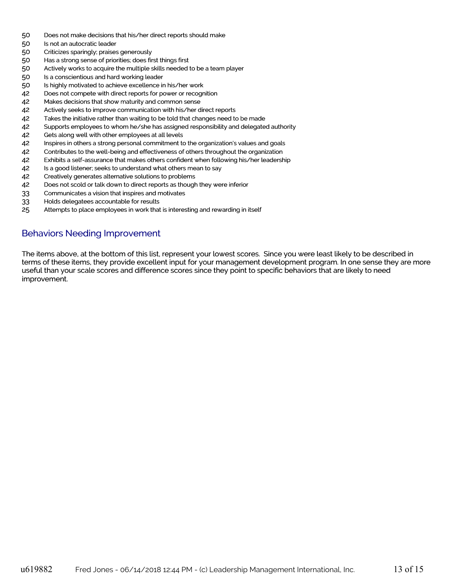- Does not make decisions that his/her direct reports should make
- Is not an autocratic leader
- Criticizes sparingly; praises generously
- Has a strong sense of priorities; does first things first
- Actively works to acquire the multiple skills needed to be a team player
- Is a conscientious and hard working leader
- Is highly motivated to achieve excellence in his/her work
- Does not compete with direct reports for power or recognition
- Makes decisions that show maturity and common sense
- Actively seeks to improve communication with his/her direct reports
- Takes the initiative rather than waiting to be told that changes need to be made
- Supports employees to whom he/she has assigned responsibility and delegated authority
- Gets along well with other employees at all levels
- Inspires in others a strong personal commitment to the organization's values and goals
- Contributes to the well-being and effectiveness of others throughout the organization
- Exhibits a self-assurance that makes others confident when following his/her leadership
- 42 Is a good listener; seeks to understand what others mean to say
- Creatively generates alternative solutions to problems
- Does not scold or talk down to direct reports as though they were inferior
- Communicates a vision that inspires and motivates
- Holds delegatees accountable for results
- Attempts to place employees in work that is interesting and rewarding in itself

#### Behaviors Needing Improvement

The items above, at the bottom of this list, represent your lowest scores. Since you were least likely to be described in terms of these items, they provide excellent input for your management development program. In one sense they are more useful than your scale scores and difference scores since they point to specific behaviors that are likely to need improvement.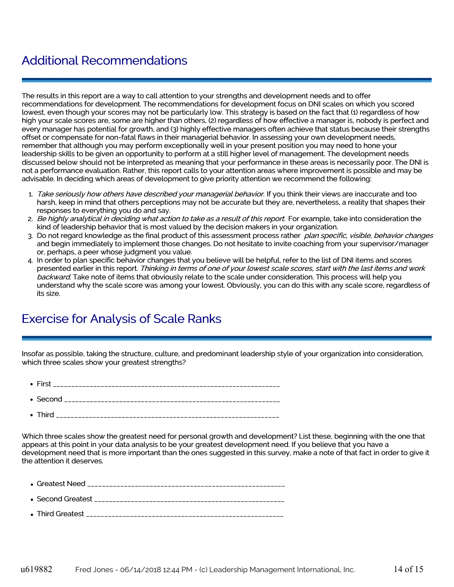# Additional Recommendations

The results in this report are a way to call attention to your strengths and development needs and to offer recommendations for development. The recommendations for development focus on DNI scales on which you scored lowest, even though your scores may not be particularly low. This strategy is based on the fact that (1) regardless of how high your scale scores are, some are higher than others, (2) regardless of how effective a manager is, nobody is perfect and every manager has potential for growth, and (3) highly effective managers often achieve that status because their strengths offset or compensate for non-fatal flaws in their managerial behavior. In assessing your own development needs, remember that although you may perform exceptionally well in your present position you may need to hone your leadership skills to be given an opportunity to perform at a still higher level of management. The development needs discussed below should not be interpreted as meaning that your performance in these areas is necessarily poor. The DNI is not a performance evaluation. Rather, this report calls to your attention areas where improvement is possible and may be advisable. In deciding which areas of development to give priority attention we recommend the following:

- 1. Take seriously how others have described your managerial behavior. If you think their views are inaccurate and too harsh, keep in mind that others perceptions may not be accurate but they are, nevertheless, a reality that shapes their responses to everything you do and say.
- 2. Be highly analytical in deciding what action to take as a result of this report. For example, take into consideration the kind of leadership behavior that is most valued by the decision makers in your organization.
- 3. Do not regard knowledge as the final product of this assessment process rather plan specific, visible, behavior changes and begin immediately to implement those changes. Do not hesitate to invite coaching from your supervisor/manager or, perhaps, a peer whose judgment you value.
- 4. In order to plan specific behavior changes that you believe will be helpful, refer to the list of DNI items and scores presented earlier in this report. Thinking in terms of one of your lowest scale scores, start with the last items and work backward. Take note of items that obviously relate to the scale under consideration. This process will help you understand why the scale score was among your lowest. Obviously, you can do this with any scale score, regardless of its size.

# Exercise for Analysis of Scale Ranks

Insofar as possible, taking the structure, culture, and predominant leadership style of your organization into consideration, which three scales show your greatest strengths?

- First \_\_\_\_\_\_\_\_\_\_\_\_\_\_\_\_\_\_\_\_\_\_\_\_\_\_\_\_\_\_\_\_\_\_\_\_\_\_\_\_\_\_\_\_\_\_\_\_\_\_\_\_\_\_\_\_\_\_\_\_\_\_
- Second \_\_\_\_\_\_\_\_\_\_\_\_\_\_\_\_\_\_\_\_\_\_\_\_\_\_\_\_\_\_\_\_\_\_\_\_\_\_\_\_\_\_\_\_\_\_\_\_\_\_\_\_\_\_\_\_\_\_\_
- Third \_\_\_\_\_\_\_\_\_\_\_\_\_\_\_\_\_\_\_\_\_\_\_\_\_\_\_\_\_\_\_\_\_\_\_\_\_\_\_\_\_\_\_\_\_\_\_\_\_\_\_\_\_\_\_\_\_\_\_\_\_

Which three scales show the greatest need for personal growth and development? List these, beginning with the one that appears at this point in your data analysis to be your greatest development need. If you believe that you have a development need that is more important than the ones suggested in this survey, make a note of that fact in order to give it the attention it deserves.

- Greatest Need \_\_\_\_\_\_\_\_\_\_\_\_\_\_\_\_\_\_\_\_\_\_\_\_\_\_\_\_\_\_\_\_\_\_\_\_\_\_\_\_\_\_\_\_\_\_\_\_\_\_\_\_\_\_
- $\bullet$  Second Greatest  $\bullet$
- Third Greatest \_\_\_\_\_\_\_\_\_\_\_\_\_\_\_\_\_\_\_\_\_\_\_\_\_\_\_\_\_\_\_\_\_\_\_\_\_\_\_\_\_\_\_\_\_\_\_\_\_\_\_\_\_\_